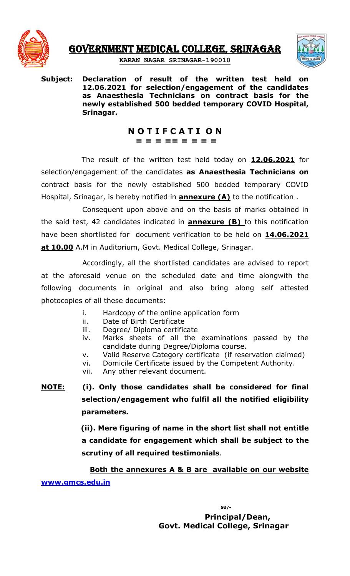

GOVERNMENT MEDICAL COLLEGE, SRINAGAR



**KARAN NAGAR SRINAGAR-190010**

**Subject: Declaration of result of the written test held on 12.06.2021 for selection/engagement of the candidates as Anaesthesia Technicians on contract basis for the newly established 500 bedded temporary COVID Hospital, Srinagar.**

> **N O T I F C A T I O N = = = == = = = =**

The result of the written test held today on **12.06.2021** for selection/engagement of the candidates **as Anaesthesia Technicians on** contract basis for the newly established 500 bedded temporary COVID Hospital, Srinagar, is hereby notified in **annexure (A)** to the notification .

Consequent upon above and on the basis of marks obtained in the said test, 42 candidates indicated in **annexure (B)** to this notification have been shortlisted for document verification to be held on **14.06.2021 at 10.00** A.M in Auditorium, Govt. Medical College, Srinagar.

Accordingly, all the shortlisted candidates are advised to report at the aforesaid venue on the scheduled date and time alongwith the following documents in original and also bring along self attested photocopies of all these documents:

- i. Hardcopy of the online application form
- ii. Date of Birth Certificate
- iii. Degree/ Diploma certificate
- iv. Marks sheets of all the examinations passed by the candidate during Degree/Diploma course.
- v. Valid Reserve Category certificate (if reservation claimed)
- vi. Domicile Certificate issued by the Competent Authority.
- vii. Any other relevant document.

**NOTE: (i). Only those candidates shall be considered for final selection/engagement who fulfil all the notified eligibility parameters.**

> **(ii). Mere figuring of name in the short list shall not entitle a candidate for engagement which shall be subject to the scrutiny of all required testimonials**.

**Both the annexures A & B are available on our website [www.gmcs.edu.in](http://www.gmcs.edu.in/)**

> **Sd/- Principal/Dean, Govt. Medical College, Srinagar**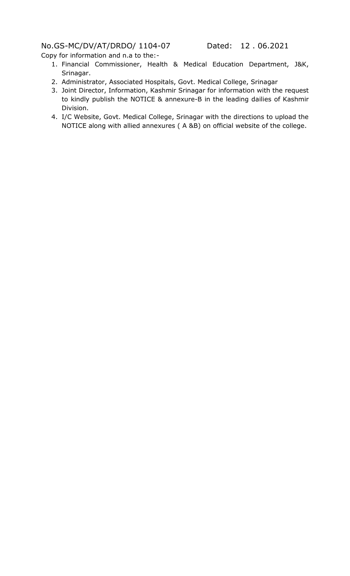## No.GS-MC/DV/AT/DRDO/ 1104-07 Dated: 12 . 06.2021

Copy for information and n.a to the:-

- 1. Financial Commissioner, Health & Medical Education Department, J&K, Srinagar.
- 2. Administrator, Associated Hospitals, Govt. Medical College, Srinagar
- 3. Joint Director, Information, Kashmir Srinagar for information with the request to kindly publish the NOTICE & annexure-B in the leading dailies of Kashmir Division.
- 4. I/C Website, Govt. Medical College, Srinagar with the directions to upload the NOTICE along with allied annexures ( A &B) on official website of the college.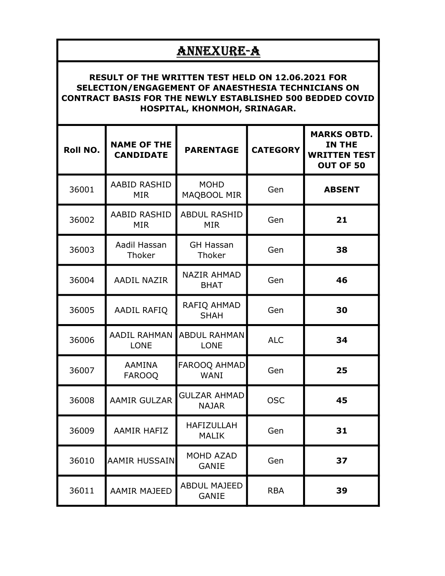## ANNEXURE-A

## RESULT OF THE WRITTEN TEST HELD ON 12.06.2021 FOR SELECTION/ENGAGEMENT OF ANAESTHESIA TECHNICIANS ON CONTRACT BASIS FOR THE NEWLY ESTABLISHED 500 BEDDED COVID HOSPITAL, KHONMOH, SRINAGAR.

| <b>Roll NO.</b> | <b>NAME OF THE</b><br><b>CANDIDATE</b> | <b>PARENTAGE</b>                    | <b>CATEGORY</b> | <b>MARKS OBTD.</b><br>IN THE<br><b>WRITTEN TEST</b><br>OUT OF 50 |
|-----------------|----------------------------------------|-------------------------------------|-----------------|------------------------------------------------------------------|
| 36001           | <b>AABID RASHID</b><br><b>MIR</b>      | <b>MOHD</b><br>MAQBOOL MIR          | Gen             | <b>ABSENT</b>                                                    |
| 36002           | AABID RASHID<br><b>MIR</b>             | <b>ABDUL RASHID</b><br><b>MIR</b>   | Gen             | 21                                                               |
| 36003           | Aadil Hassan<br>Thoker                 | <b>GH Hassan</b><br>Thoker          | Gen             | 38                                                               |
| 36004           | <b>AADIL NAZIR</b>                     | <b>NAZIR AHMAD</b><br><b>BHAT</b>   | Gen             | 46                                                               |
| 36005           | <b>AADIL RAFIQ</b>                     | RAFIQ AHMAD<br><b>SHAH</b>          | Gen             | 30                                                               |
| 36006           | <b>AADIL RAHMAN</b><br><b>LONE</b>     | <b>ABDUL RAHMAN</b><br><b>LONE</b>  | <b>ALC</b>      | 34                                                               |
| 36007           | <b>AAMINA</b><br><b>FAROOQ</b>         | FAROOQ AHMAD<br><b>WANI</b>         | Gen             | 25                                                               |
| 36008           | <b>AAMIR GULZAR</b>                    | <b>GULZAR AHMAD</b><br><b>NAJAR</b> | <b>OSC</b>      | 45                                                               |
| 36009           | <b>AAMIR HAFIZ</b>                     | <b>HAFIZULLAH</b><br><b>MALIK</b>   | Gen             | 31                                                               |
| 36010           | <b>AAMIR HUSSAIN</b>                   | MOHD AZAD<br><b>GANIE</b>           | Gen             | 37                                                               |
| 36011           | <b>AAMIR MAJEED</b>                    | <b>ABDUL MAJEED</b><br>GANIE        | <b>RBA</b>      | 39                                                               |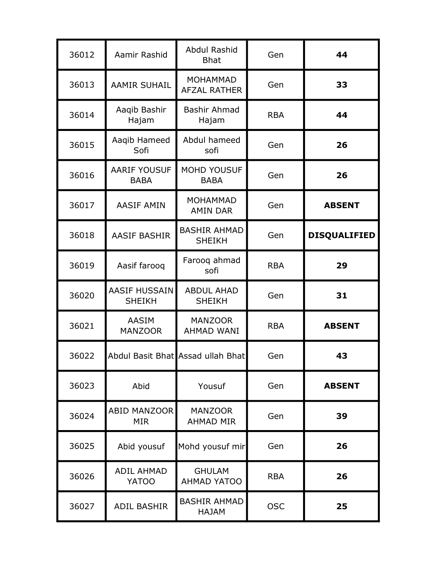| 36012 | Aamir Rashid                          | Abdul Rashid<br><b>Bhat</b>            | Gen        | 44                  |
|-------|---------------------------------------|----------------------------------------|------------|---------------------|
| 36013 | <b>AAMIR SUHAIL</b>                   | <b>MOHAMMAD</b><br><b>AFZAL RATHER</b> | Gen        | 33                  |
| 36014 | Aaqib Bashir<br>Hajam                 | Bashir Ahmad<br>Hajam                  | <b>RBA</b> | 44                  |
| 36015 | Aaqib Hameed<br>Sofi                  | Abdul hameed<br>sofi                   | Gen        | 26                  |
| 36016 | <b>AARIF YOUSUF</b><br><b>BABA</b>    | <b>MOHD YOUSUF</b><br><b>BABA</b>      | Gen        | 26                  |
| 36017 | <b>AASIF AMIN</b>                     | <b>MOHAMMAD</b><br><b>AMIN DAR</b>     | Gen        | <b>ABSENT</b>       |
| 36018 | <b>AASIF BASHIR</b>                   | <b>BASHIR AHMAD</b><br><b>SHEIKH</b>   | Gen        | <b>DISQUALIFIED</b> |
| 36019 | Aasif farooq                          | Farooq ahmad<br>sofi                   | <b>RBA</b> | 29                  |
| 36020 | <b>AASIF HUSSAIN</b><br><b>SHEIKH</b> | <b>ABDUL AHAD</b><br><b>SHEIKH</b>     | Gen        | 31                  |
| 36021 | <b>AASIM</b><br><b>MANZOOR</b>        | <b>MANZOOR</b><br><b>AHMAD WANI</b>    | <b>RBA</b> | <b>ABSENT</b>       |
| 36022 |                                       | Abdul Basit Bhat Assad ullah Bhat      | Gen        | 43                  |
| 36023 | Abid                                  | Yousuf                                 | Gen        | <b>ABSENT</b>       |
| 36024 | <b>ABID MANZOOR</b><br><b>MIR</b>     | <b>MANZOOR</b><br><b>AHMAD MIR</b>     | Gen        | 39                  |
| 36025 | Abid yousuf                           | Mohd yousuf mir                        | Gen        | 26                  |
| 36026 | <b>ADIL AHMAD</b><br><b>YATOO</b>     | <b>GHULAM</b><br><b>AHMAD YATOO</b>    | <b>RBA</b> | 26                  |
| 36027 | <b>ADIL BASHIR</b>                    | <b>BASHIR AHMAD</b><br><b>HAJAM</b>    | <b>OSC</b> | 25                  |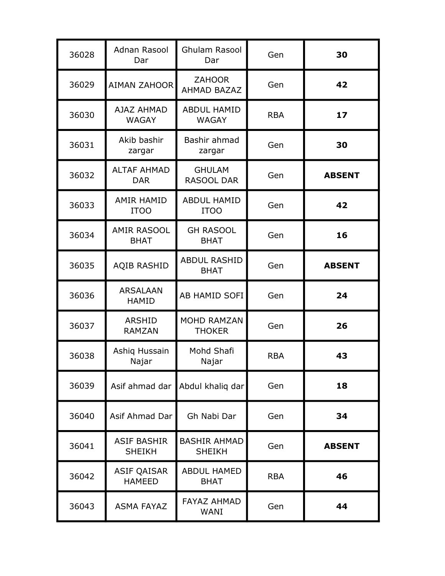| 36028 | Adnan Rasool<br>Dar                 | <b>Ghulam Rasool</b><br>Dar          | Gen        | 30            |
|-------|-------------------------------------|--------------------------------------|------------|---------------|
| 36029 | <b>AIMAN ZAHOOR</b>                 | <b>ZAHOOR</b><br><b>AHMAD BAZAZ</b>  | Gen        | 42            |
| 36030 | <b>AJAZ AHMAD</b><br><b>WAGAY</b>   | <b>ABDUL HAMID</b><br><b>WAGAY</b>   | <b>RBA</b> | 17            |
| 36031 | Akib bashir<br>zargar               | Bashir ahmad<br>zargar               | Gen        | 30            |
| 36032 | <b>ALTAF AHMAD</b><br><b>DAR</b>    | <b>GHULAM</b><br>RASOOL DAR          | Gen        | <b>ABSENT</b> |
| 36033 | <b>AMIR HAMID</b><br><b>ITOO</b>    | <b>ABDUL HAMID</b><br><b>ITOO</b>    | Gen        | 42            |
| 36034 | <b>AMIR RASOOL</b><br><b>BHAT</b>   | <b>GH RASOOL</b><br><b>BHAT</b>      | Gen        | 16            |
| 36035 | <b>AQIB RASHID</b>                  | <b>ABDUL RASHID</b><br><b>BHAT</b>   | Gen        | <b>ABSENT</b> |
| 36036 | <b>ARSALAAN</b><br><b>HAMID</b>     | AB HAMID SOFI                        | Gen        | 24            |
| 36037 | <b>ARSHID</b><br><b>RAMZAN</b>      | <b>MOHD RAMZAN</b><br><b>THOKER</b>  | Gen        | 26            |
| 36038 | Ashiq Hussain<br>Najar              | Mohd Shafi<br>Najar                  | <b>RBA</b> | 43            |
| 36039 |                                     | Asif ahmad dar Abdul khaliq dar      | Gen        | 18            |
| 36040 | Asif Ahmad Dar                      | Gh Nabi Dar                          | Gen        | 34            |
| 36041 | <b>ASIF BASHIR</b><br><b>SHEIKH</b> | <b>BASHIR AHMAD</b><br><b>SHEIKH</b> | Gen        | <b>ABSENT</b> |
| 36042 | <b>ASIF QAISAR</b><br><b>HAMEED</b> | <b>ABDUL HAMED</b><br><b>BHAT</b>    | <b>RBA</b> | 46            |
| 36043 | <b>ASMA FAYAZ</b>                   | <b>FAYAZ AHMAD</b><br>WANI           | Gen        | 44            |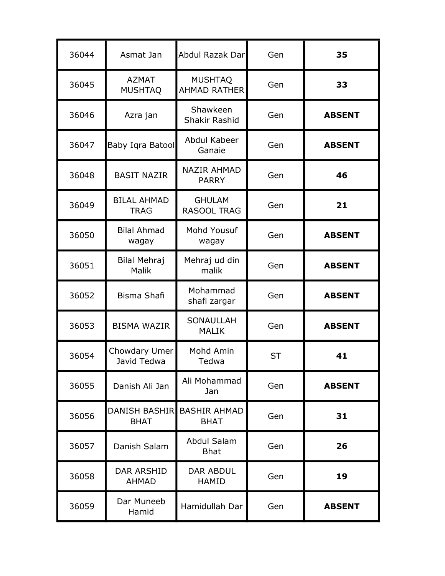| 36044 | Asmat Jan                           | Abdul Razak Dar                       | Gen       | 35            |
|-------|-------------------------------------|---------------------------------------|-----------|---------------|
| 36045 | <b>AZMAT</b><br><b>MUSHTAQ</b>      | <b>MUSHTAQ</b><br><b>AHMAD RATHER</b> | Gen       | 33            |
| 36046 | Azra jan                            | Shawkeen<br>Shakir Rashid             | Gen       | <b>ABSENT</b> |
| 36047 | Baby Iqra Batool                    | Abdul Kabeer<br>Ganaie                | Gen       | <b>ABSENT</b> |
| 36048 | <b>BASIT NAZIR</b>                  | <b>NAZIR AHMAD</b><br><b>PARRY</b>    | Gen       | 46            |
| 36049 | <b>BILAL AHMAD</b><br><b>TRAG</b>   | <b>GHULAM</b><br><b>RASOOL TRAG</b>   | Gen       | 21            |
| 36050 | <b>Bilal Ahmad</b><br>wagay         | Mohd Yousuf<br>wagay                  | Gen       | <b>ABSENT</b> |
| 36051 | <b>Bilal Mehraj</b><br>Malik        | Mehraj ud din<br>malik                | Gen       | <b>ABSENT</b> |
| 36052 | <b>Bisma Shafi</b>                  | Mohammad<br>shafi zargar              | Gen       | <b>ABSENT</b> |
| 36053 | <b>BISMA WAZIR</b>                  | <b>SONAULLAH</b><br><b>MALIK</b>      | Gen       | <b>ABSENT</b> |
| 36054 | Chowdary Umer<br>Javid Tedwa        | Mohd Amin<br>Tedwa                    | <b>ST</b> | 41            |
| 36055 | Danish Ali Jan                      | Ali Mohammad<br>Jan                   | Gen       | <b>ABSENT</b> |
| 36056 | <b>DANISH BASHIR</b><br><b>BHAT</b> | <b>BASHIR AHMAD</b><br><b>BHAT</b>    | Gen       | 31            |
| 36057 | Danish Salam                        | Abdul Salam<br><b>Bhat</b>            | Gen       | 26            |
| 36058 | <b>DAR ARSHID</b><br><b>AHMAD</b>   | <b>DAR ABDUL</b><br><b>HAMID</b>      | Gen       | 19            |
| 36059 | Dar Muneeb<br>Hamid                 | Hamidullah Dar                        | Gen       | <b>ABSENT</b> |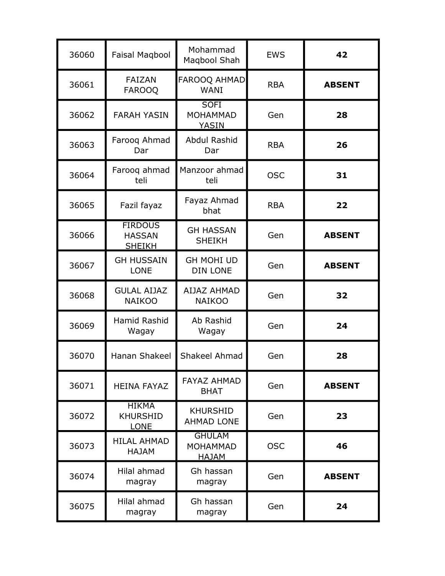| 36060 | Faisal Magbool                                   | Mohammad<br>Magbool Shah                  | <b>EWS</b> | 42            |
|-------|--------------------------------------------------|-------------------------------------------|------------|---------------|
| 36061 | <b>FAIZAN</b><br><b>FAROOQ</b>                   | FAROOQ AHMAD<br><b>WANI</b>               | <b>RBA</b> | <b>ABSENT</b> |
| 36062 | <b>FARAH YASIN</b>                               | <b>SOFI</b><br><b>MOHAMMAD</b><br>YASIN   | Gen        | 28            |
| 36063 | Farooq Ahmad<br>Dar                              | Abdul Rashid<br>Dar                       | <b>RBA</b> | 26            |
| 36064 | Farooq ahmad<br>teli                             | Manzoor ahmad<br>teli                     | <b>OSC</b> | 31            |
| 36065 | Fazil fayaz                                      | Fayaz Ahmad<br>bhat                       | <b>RBA</b> | 22            |
| 36066 | <b>FIRDOUS</b><br><b>HASSAN</b><br><b>SHEIKH</b> | <b>GH HASSAN</b><br><b>SHEIKH</b>         | Gen        | <b>ABSENT</b> |
| 36067 | <b>GH HUSSAIN</b><br><b>LONE</b>                 | <b>GH MOHI UD</b><br><b>DIN LONE</b>      | Gen        | <b>ABSENT</b> |
| 36068 | <b>GULAL AIJAZ</b><br><b>NAIKOO</b>              | <b>AIJAZ AHMAD</b><br><b>NAIKOO</b>       | Gen        | 32            |
| 36069 | Hamid Rashid<br>Wagay                            | Ab Rashid<br>Wagay                        | Gen        | 24            |
| 36070 | Hanan Shakeel                                    | Shakeel Ahmad                             | Gen        | 28            |
| 36071 | <b>HEINA FAYAZ</b>                               | <b>FAYAZ AHMAD</b><br><b>BHAT</b>         | Gen        | <b>ABSENT</b> |
| 36072 | <b>HIKMA</b><br><b>KHURSHID</b><br><b>LONE</b>   | <b>KHURSHID</b><br><b>AHMAD LONE</b>      | Gen        | 23            |
| 36073 | <b>HILAL AHMAD</b><br><b>HAJAM</b>               | <b>GHULAM</b><br><b>MOHAMMAD</b><br>HAJAM | <b>OSC</b> | 46            |
| 36074 | Hilal ahmad<br>magray                            | Gh hassan<br>magray                       | Gen        | <b>ABSENT</b> |
| 36075 | Hilal ahmad<br>magray                            | Gh hassan<br>magray                       | Gen        | 24            |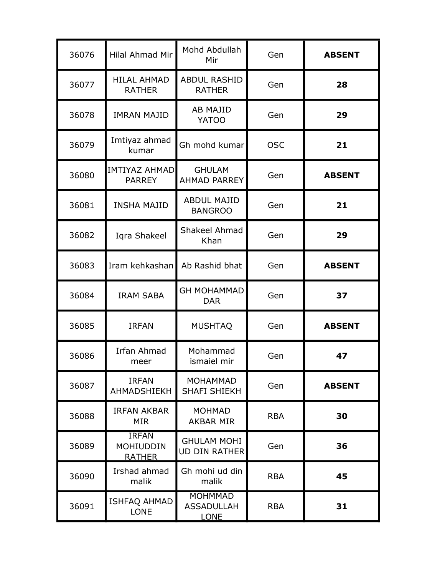| 36076 | Hilal Ahmad Mir                                   | Mohd Abdullah<br>Mir                               | Gen        | <b>ABSENT</b> |
|-------|---------------------------------------------------|----------------------------------------------------|------------|---------------|
| 36077 | <b>HILAL AHMAD</b><br><b>RATHER</b>               | <b>ABDUL RASHID</b><br><b>RATHER</b>               | Gen        | 28            |
| 36078 | <b>IMRAN MAJID</b>                                | <b>AB MAJID</b><br><b>YATOO</b>                    | Gen        | 29            |
| 36079 | Imtiyaz ahmad<br>kumar                            | Gh mohd kumar                                      | <b>OSC</b> | 21            |
| 36080 | <b>IMTIYAZ AHMAD</b><br><b>PARREY</b>             | <b>GHULAM</b><br><b>AHMAD PARREY</b>               | Gen        | <b>ABSENT</b> |
| 36081 | <b>INSHA MAJID</b>                                | <b>ABDUL MAJID</b><br><b>BANGROO</b>               | Gen        | 21            |
| 36082 | Iqra Shakeel                                      | Shakeel Ahmad<br>Khan                              | Gen        | 29            |
| 36083 | Iram kehkashan                                    | Ab Rashid bhat                                     | Gen        | <b>ABSENT</b> |
| 36084 | <b>IRAM SABA</b>                                  | <b>GH MOHAMMAD</b><br><b>DAR</b>                   | Gen        | 37            |
| 36085 | <b>IRFAN</b>                                      | <b>MUSHTAQ</b>                                     | Gen        | <b>ABSENT</b> |
| 36086 | <b>Irfan Ahmad</b><br>meer                        | Mohammad<br>ismaiel mir                            | Gen        | 47            |
| 36087 | <b>IRFAN</b><br>AHMADSHIEKH                       | <b>MOHAMMAD</b><br><b>SHAFI SHIEKH</b>             | Gen        | <b>ABSENT</b> |
| 36088 | <b>IRFAN AKBAR</b><br><b>MIR</b>                  | <b>MOHMAD</b><br><b>AKBAR MIR</b>                  | <b>RBA</b> | 30            |
| 36089 | <b>IRFAN</b><br><b>MOHIUDDIN</b><br><b>RATHER</b> | <b>GHULAM MOHI</b><br><b>UD DIN RATHER</b>         | Gen        | 36            |
| 36090 | Irshad ahmad<br>malik                             | Gh mohi ud din<br>malik                            | <b>RBA</b> | 45            |
| 36091 | <b>ISHFAQ AHMAD</b><br><b>LONE</b>                | <b>MOHMMAD</b><br><b>ASSADULLAH</b><br><b>LONE</b> | <b>RBA</b> | 31            |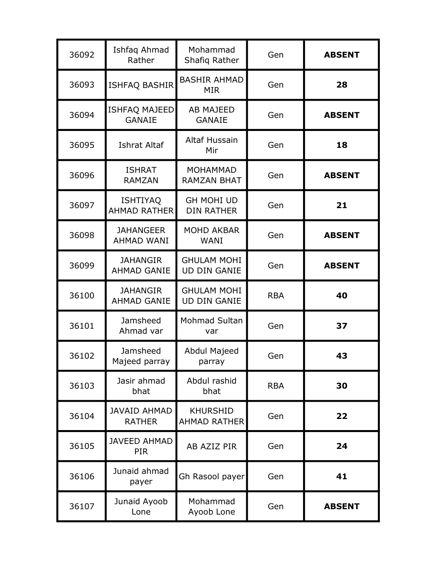| 36092 | Ishfaq Ahmad<br>Rather                 | Mohammad<br>Shafiq Rather                 | Gen        | <b>ABSENT</b> |
|-------|----------------------------------------|-------------------------------------------|------------|---------------|
| 36093 | ISHFAQ BASHIR                          | <b>BASHIR AHMAD</b><br><b>MIR</b>         | Gen        | 28            |
| 36094 | <b>ISHFAQ MAJEED</b><br><b>GANAIE</b>  | <b>AB MAJEED</b><br><b>GANAIE</b>         | Gen        | <b>ABSENT</b> |
| 36095 | <b>Ishrat Altaf</b>                    | <b>Altaf Hussain</b><br>Mir               | Gen        | 18            |
| 36096 | <b>ISHRAT</b><br><b>RAMZAN</b>         | <b>MOHAMMAD</b><br><b>RAMZAN BHAT</b>     | Gen        | <b>ABSENT</b> |
| 36097 | <b>ISHTIYAQ</b><br><b>AHMAD RATHER</b> | <b>GH MOHI UD</b><br><b>DIN RATHER</b>    | Gen        | 21            |
| 36098 | <b>JAHANGEER</b><br><b>AHMAD WANI</b>  | <b>MOHD AKBAR</b><br>WANI                 | Gen        | <b>ABSENT</b> |
| 36099 | <b>JAHANGIR</b><br><b>AHMAD GANIE</b>  | <b>GHULAM MOHI</b><br><b>UD DIN GANIE</b> | Gen        | <b>ABSENT</b> |
| 36100 | <b>JAHANGIR</b><br><b>AHMAD GANIE</b>  | <b>GHULAM MOHI</b><br><b>UD DIN GANIE</b> | <b>RBA</b> | 40            |
| 36101 | Jamsheed<br>Ahmad var                  | Mohmad Sultan<br>var                      | Gen        | 37            |
| 36102 | Jamsheed<br>Majeed parray              | Abdul Majeed<br>parray                    | Gen        | 43            |
| 36103 | Jasir ahmad<br>bhat                    | Abdul rashid<br>bhat                      | <b>RBA</b> | 30            |
| 36104 | <b>JAVAID AHMAD</b><br><b>RATHER</b>   | <b>KHURSHID</b><br><b>AHMAD RATHER</b>    | Gen        | 22            |
| 36105 | <b>JAVEED AHMAD</b><br><b>PIR</b>      | AB AZIZ PIR                               | Gen        | 24            |
| 36106 | Junaid ahmad<br>payer                  | Gh Rasool payer                           | Gen        | 41            |
| 36107 | Junaid Ayoob<br>Lone                   | Mohammad<br>Ayoob Lone                    | Gen        | <b>ABSENT</b> |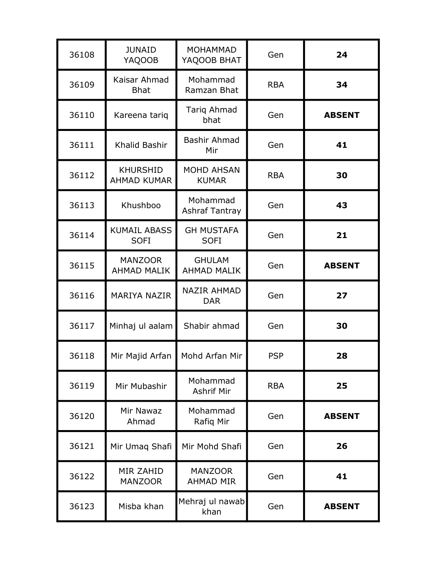| 36108 | <b>JUNAID</b><br><b>YAQOOB</b>        | <b>MOHAMMAD</b><br>YAQOOB BHAT      | Gen        | 24            |
|-------|---------------------------------------|-------------------------------------|------------|---------------|
| 36109 | Kaisar Ahmad<br><b>Bhat</b>           | Mohammad<br>Ramzan Bhat             | <b>RBA</b> | 34            |
| 36110 | Kareena tariq                         | Tariq Ahmad<br>bhat                 | Gen        | <b>ABSENT</b> |
| 36111 | Khalid Bashir                         | Bashir Ahmad<br>Mir                 | Gen        | 41            |
| 36112 | <b>KHURSHID</b><br><b>AHMAD KUMAR</b> | <b>MOHD AHSAN</b><br><b>KUMAR</b>   | <b>RBA</b> | 30            |
| 36113 | Khushboo                              | Mohammad<br><b>Ashraf Tantray</b>   | Gen        | 43            |
| 36114 | <b>KUMAIL ABASS</b><br><b>SOFI</b>    | <b>GH MUSTAFA</b><br><b>SOFI</b>    | Gen        | 21            |
| 36115 | <b>MANZOOR</b><br><b>AHMAD MALIK</b>  | <b>GHULAM</b><br><b>AHMAD MALIK</b> | Gen        | <b>ABSENT</b> |
| 36116 | <b>MARIYA NAZIR</b>                   | <b>NAZIR AHMAD</b><br><b>DAR</b>    | Gen        | 27            |
| 36117 | Minhaj ul aalam                       | Shabir ahmad                        | Gen        | 30            |
| 36118 | Mir Majid Arfan                       | Mohd Arfan Mir                      | <b>PSP</b> | 28            |
| 36119 | Mir Mubashir                          | Mohammad<br><b>Ashrif Mir</b>       | <b>RBA</b> | 25            |
| 36120 | Mir Nawaz<br>Ahmad                    | Mohammad<br>Rafiq Mir               | Gen        | <b>ABSENT</b> |
| 36121 | Mir Umaq Shafi                        | Mir Mohd Shafi                      | Gen        | 26            |
| 36122 | <b>MIR ZAHID</b><br><b>MANZOOR</b>    | <b>MANZOOR</b><br><b>AHMAD MIR</b>  | Gen        | 41            |
| 36123 | Misba khan                            | Mehraj ul nawab<br>khan             | Gen        | <b>ABSENT</b> |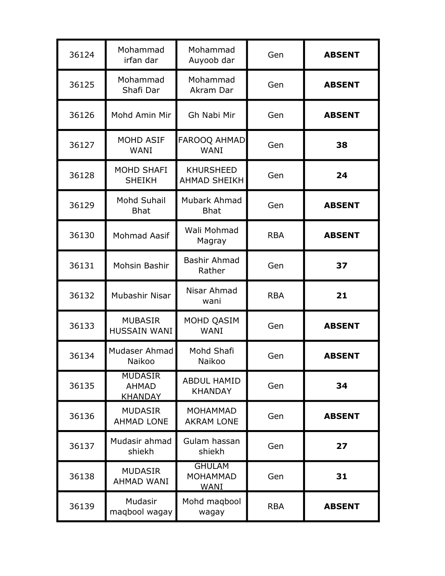| 36124 | Mohammad<br>irfan dar                            | Mohammad<br>Auyoob dar                          | Gen        | <b>ABSENT</b> |
|-------|--------------------------------------------------|-------------------------------------------------|------------|---------------|
| 36125 | Mohammad<br>Shafi Dar                            | Mohammad<br>Akram Dar                           | Gen        | <b>ABSENT</b> |
| 36126 | Mohd Amin Mir                                    | Gh Nabi Mir                                     | Gen        | <b>ABSENT</b> |
| 36127 | <b>MOHD ASIF</b><br><b>WANI</b>                  | FAROOQ AHMAD<br><b>WANI</b>                     | Gen        | 38            |
| 36128 | <b>MOHD SHAFI</b><br><b>SHEIKH</b>               | <b>KHURSHEED</b><br><b>AHMAD SHEIKH</b>         | Gen        | 24            |
| 36129 | Mohd Suhail<br><b>Bhat</b>                       | Mubark Ahmad<br><b>Bhat</b>                     | Gen        | <b>ABSENT</b> |
| 36130 | <b>Mohmad Aasif</b>                              | Wali Mohmad<br>Magray                           | <b>RBA</b> | <b>ABSENT</b> |
| 36131 | Mohsin Bashir                                    | <b>Bashir Ahmad</b><br>Rather                   | Gen        | 37            |
| 36132 | Mubashir Nisar                                   | Nisar Ahmad<br>wani                             | <b>RBA</b> | 21            |
| 36133 | <b>MUBASIR</b><br><b>HUSSAIN WANI</b>            | MOHD QASIM<br><b>WANI</b>                       | Gen        | <b>ABSENT</b> |
| 36134 | Mudaser Ahmad<br>Naikoo                          | Mohd Shafi<br>Naikoo                            | Gen        | <b>ABSENT</b> |
| 36135 | <b>MUDASIR</b><br><b>AHMAD</b><br><b>KHANDAY</b> | <b>ABDUL HAMID</b><br><b>KHANDAY</b>            | Gen        | 34            |
| 36136 | <b>MUDASIR</b><br><b>AHMAD LONE</b>              | <b>MOHAMMAD</b><br><b>AKRAM LONE</b>            | Gen        | <b>ABSENT</b> |
| 36137 | Mudasir ahmad<br>shiekh                          | Gulam hassan<br>shiekh                          | Gen        | 27            |
| 36138 | <b>MUDASIR</b><br>AHMAD WANI                     | <b>GHULAM</b><br><b>MOHAMMAD</b><br><b>WANI</b> | Gen        | 31            |
| 36139 | Mudasir<br>maqbool wagay                         | Mohd magbool<br>wagay                           | <b>RBA</b> | <b>ABSENT</b> |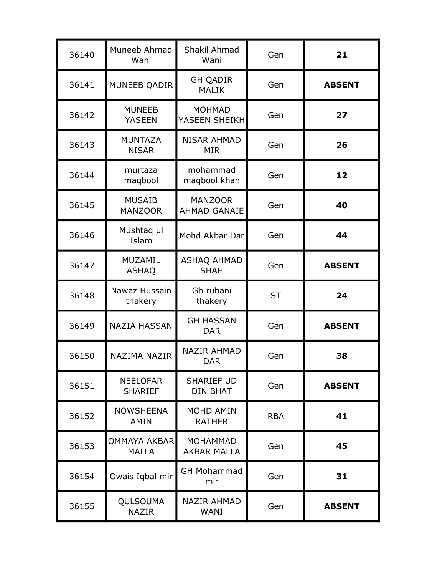| 36140 | Muneeb Ahmad<br>Wani                | Shakil Ahmad<br>Wani                  | Gen        | 21            |
|-------|-------------------------------------|---------------------------------------|------------|---------------|
| 36141 | MUNEEB QADIR                        | <b>GH QADIR</b><br><b>MALIK</b>       | Gen        | <b>ABSENT</b> |
| 36142 | <b>MUNEEB</b><br><b>YASEEN</b>      | <b>MOHMAD</b><br>YASEEN SHEIKH        | Gen        | 27            |
| 36143 | <b>MUNTAZA</b><br><b>NISAR</b>      | <b>NISAR AHMAD</b><br><b>MIR</b>      | Gen        | 26            |
| 36144 | murtaza<br>maqbool                  | mohammad<br>maqbool khan              | Gen        | 12            |
| 36145 | <b>MUSAIB</b><br><b>MANZOOR</b>     | <b>MANZOOR</b><br><b>AHMAD GANAIE</b> | Gen        | 40            |
| 36146 | Mushtaq ul<br>Islam                 | Mohd Akbar Dar                        | Gen        | 44            |
| 36147 | <b>MUZAMIL</b><br><b>ASHAQ</b>      | <b>ASHAQ AHMAD</b><br><b>SHAH</b>     | Gen        | <b>ABSENT</b> |
| 36148 | Nawaz Hussain<br>thakery            | Gh rubani<br>thakery                  | <b>ST</b>  | 24            |
| 36149 | <b>NAZIA HASSAN</b>                 | <b>GH HASSAN</b><br><b>DAR</b>        | Gen        | <b>ABSENT</b> |
| 36150 | NAZIMA NAZIR                        | <b>NAZIR AHMAD</b><br><b>DAR</b>      | Gen        | 38            |
| 36151 | <b>NEELOFAR</b><br><b>SHARIEF</b>   | <b>SHARIEF UD</b><br><b>DIN BHAT</b>  | Gen        | <b>ABSENT</b> |
| 36152 | <b>NOWSHEENA</b><br><b>AMIN</b>     | <b>MOHD AMIN</b><br><b>RATHER</b>     | <b>RBA</b> | 41            |
| 36153 | <b>OMMAYA AKBAR</b><br><b>MALLA</b> | <b>MOHAMMAD</b><br><b>AKBAR MALLA</b> | Gen        | 45            |
| 36154 | Owais Iqbal mir                     | <b>GH Mohammad</b><br>mir             | Gen        | 31            |
| 36155 | QULSOUMA<br><b>NAZIR</b>            | <b>NAZIR AHMAD</b><br>WANI            | Gen        | <b>ABSENT</b> |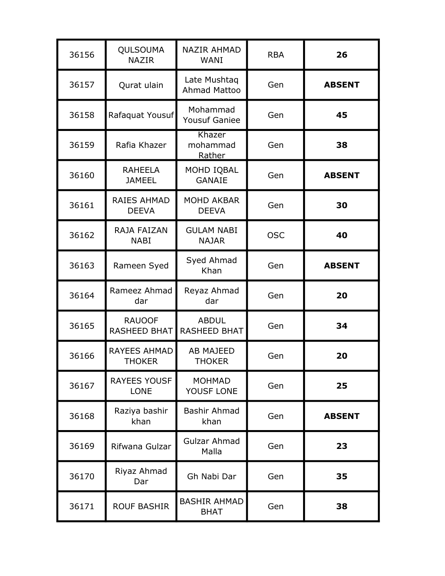| 36156 | QULSOUMA<br><b>NAZIR</b>             | <b>NAZIR AHMAD</b><br>WANI          | <b>RBA</b> | 26            |
|-------|--------------------------------------|-------------------------------------|------------|---------------|
| 36157 | Qurat ulain                          | Late Mushtaq<br><b>Ahmad Mattoo</b> | Gen        | <b>ABSENT</b> |
| 36158 | Rafaquat Yousuf                      | Mohammad<br><b>Yousuf Ganiee</b>    | Gen        | 45            |
| 36159 | Rafia Khazer                         | Khazer<br>mohammad<br>Rather        | Gen        | 38            |
| 36160 | <b>RAHEELA</b><br><b>JAMEEL</b>      | MOHD IQBAL<br><b>GANAIE</b>         | Gen        | <b>ABSENT</b> |
| 36161 | RAIES AHMAD<br><b>DEEVA</b>          | <b>MOHD AKBAR</b><br><b>DEEVA</b>   | Gen        | 30            |
| 36162 | RAJA FAIZAN<br><b>NABI</b>           | <b>GULAM NABI</b><br><b>NAJAR</b>   | <b>OSC</b> | 40            |
| 36163 | Rameen Syed                          | Syed Ahmad<br>Khan                  | Gen        | <b>ABSENT</b> |
| 36164 | Rameez Ahmad<br>dar                  | Reyaz Ahmad<br>dar                  | Gen        | 20            |
| 36165 | <b>RAUOOF</b><br><b>RASHEED BHAT</b> | <b>ABDUL</b><br><b>RASHEED BHAT</b> | Gen        | 34            |
| 36166 | <b>RAYEES AHMAD</b><br><b>THOKER</b> | <b>AB MAJEED</b><br><b>THOKER</b>   | Gen        | 20            |
| 36167 | <b>RAYEES YOUSF</b><br><b>LONE</b>   | <b>MOHMAD</b><br>YOUSF LONE         | Gen        | 25            |
| 36168 | Raziya bashir<br>khan                | Bashir Ahmad<br>khan                | Gen        | <b>ABSENT</b> |
| 36169 | Rifwana Gulzar                       | Gulzar Ahmad<br>Malla               | Gen        | 23            |
| 36170 | Riyaz Ahmad<br>Dar                   | Gh Nabi Dar                         | Gen        | 35            |
| 36171 | <b>ROUF BASHIR</b>                   | <b>BASHIR AHMAD</b><br><b>BHAT</b>  | Gen        | 38            |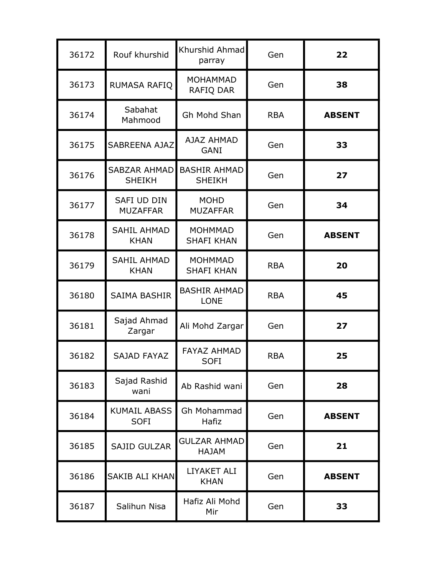| 36172 | Rouf khurshid                         | Khurshid Ahmad<br>parray             | Gen        | 22            |
|-------|---------------------------------------|--------------------------------------|------------|---------------|
| 36173 | RUMASA RAFIQ                          | <b>MOHAMMAD</b><br>RAFIQ DAR         | Gen        | 38            |
| 36174 | Sabahat<br>Mahmood                    | Gh Mohd Shan                         | <b>RBA</b> | <b>ABSENT</b> |
| 36175 | SABREENA AJAZ                         | AJAZ AHMAD<br>GANI                   | Gen        | 33            |
| 36176 | <b>SABZAR AHMAD</b><br><b>SHEIKH</b>  | <b>BASHIR AHMAD</b><br><b>SHEIKH</b> | Gen        | 27            |
| 36177 | <b>SAFI UD DIN</b><br><b>MUZAFFAR</b> | <b>MOHD</b><br><b>MUZAFFAR</b>       | Gen        | 34            |
| 36178 | <b>SAHIL AHMAD</b><br><b>KHAN</b>     | <b>MOHMMAD</b><br><b>SHAFI KHAN</b>  | Gen        | <b>ABSENT</b> |
| 36179 | <b>SAHIL AHMAD</b><br><b>KHAN</b>     | <b>MOHMMAD</b><br><b>SHAFI KHAN</b>  | <b>RBA</b> | 20            |
| 36180 | <b>SAIMA BASHIR</b>                   | <b>BASHIR AHMAD</b><br><b>LONE</b>   | <b>RBA</b> | 45            |
| 36181 | Sajad Ahmad<br>Zargar                 | Ali Mohd Zargar                      | Gen        | 27            |
| 36182 | SAJAD FAYAZ                           | <b>FAYAZ AHMAD</b><br><b>SOFI</b>    | <b>RBA</b> | 25            |
| 36183 | Sajad Rashid<br>wani                  | Ab Rashid wani                       | Gen        | 28            |
| 36184 | <b>KUMAIL ABASS</b><br><b>SOFI</b>    | Gh Mohammad<br>Hafiz                 | Gen        | <b>ABSENT</b> |
| 36185 | <b>SAJID GULZAR</b>                   | <b>GULZAR AHMAD</b><br><b>HAJAM</b>  | Gen        | 21            |
| 36186 | SAKIB ALI KHAN                        | <b>LIYAKET ALI</b><br><b>KHAN</b>    | Gen        | <b>ABSENT</b> |
| 36187 | Salihun Nisa                          | Hafiz Ali Mohd<br>Mir                | Gen        | 33            |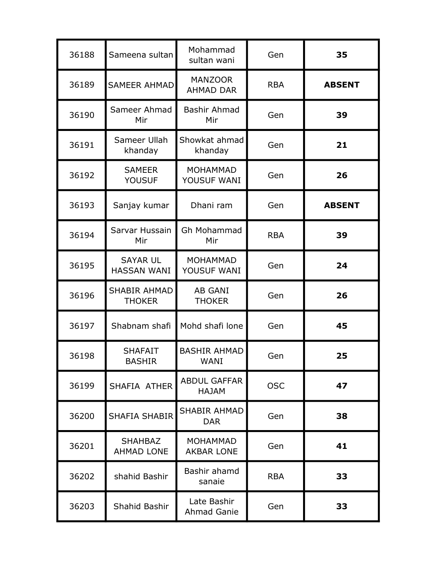| 36188 | Sameena sultan                        | Mohammad<br>sultan wani              | Gen        | 35            |
|-------|---------------------------------------|--------------------------------------|------------|---------------|
| 36189 | <b>SAMEER AHMAD</b>                   | <b>MANZOOR</b><br><b>AHMAD DAR</b>   | <b>RBA</b> | <b>ABSENT</b> |
| 36190 | Sameer Ahmad<br>Mir                   | Bashir Ahmad<br>Mir                  | Gen        | 39            |
| 36191 | Sameer Ullah<br>khanday               | Showkat ahmad<br>khanday             | Gen        | 21            |
| 36192 | <b>SAMEER</b><br><b>YOUSUF</b>        | <b>MOHAMMAD</b><br>YOUSUF WANI       | Gen        | 26            |
| 36193 | Sanjay kumar                          | Dhani ram                            | Gen        | <b>ABSENT</b> |
| 36194 | Sarvar Hussain<br>Mir                 | Gh Mohammad<br>Mir                   | <b>RBA</b> | 39            |
| 36195 | <b>SAYAR UL</b><br><b>HASSAN WANI</b> | <b>MOHAMMAD</b><br>YOUSUF WANI       | Gen        | 24            |
| 36196 | <b>SHABIR AHMAD</b><br><b>THOKER</b>  | AB GANI<br><b>THOKER</b>             | Gen        | 26            |
| 36197 | Shabnam shafi                         | Mohd shafi lone                      | Gen        | 45            |
| 36198 | <b>SHAFAIT</b><br><b>BASHIR</b>       | <b>BASHIR AHMAD</b><br><b>WANI</b>   | Gen        | 25            |
| 36199 | SHAFIA ATHER                          | <b>ABDUL GAFFAR</b><br><b>HAJAM</b>  | <b>OSC</b> | 47            |
| 36200 | <b>SHAFIA SHABIR</b>                  | <b>SHABIR AHMAD</b><br><b>DAR</b>    | Gen        | 38            |
| 36201 | <b>SHAHBAZ</b><br><b>AHMAD LONE</b>   | <b>MOHAMMAD</b><br><b>AKBAR LONE</b> | Gen        | 41            |
| 36202 | shahid Bashir                         | Bashir ahamd<br>sanaie               | <b>RBA</b> | 33            |
| 36203 | Shahid Bashir                         | Late Bashir<br>Ahmad Ganie           | Gen        | 33            |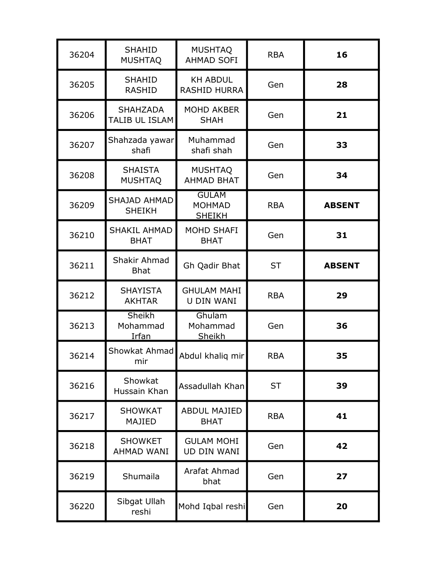| 36204 | <b>SHAHID</b><br><b>MUSHTAQ</b>           | <b>MUSHTAQ</b><br><b>AHMAD SOFI</b>            | <b>RBA</b> | 16            |
|-------|-------------------------------------------|------------------------------------------------|------------|---------------|
| 36205 | <b>SHAHID</b><br><b>RASHID</b>            | <b>KH ABDUL</b><br><b>RASHID HURRA</b>         | Gen        | 28            |
| 36206 | <b>SHAHZADA</b><br>TALIB UL ISLAM         | <b>MOHD AKBER</b><br><b>SHAH</b>               | Gen        | 21            |
| 36207 | Shahzada yawar<br>shafi                   | Muhammad<br>shafi shah                         | Gen        | 33            |
| 36208 | <b>SHAISTA</b><br><b>MUSHTAQ</b>          | <b>MUSHTAQ</b><br><b>AHMAD BHAT</b>            | Gen        | 34            |
| 36209 | SHAJAD AHMAD<br><b>SHEIKH</b>             | <b>GULAM</b><br><b>MOHMAD</b><br><b>SHEIKH</b> | <b>RBA</b> | <b>ABSENT</b> |
| 36210 | <b>SHAKIL AHMAD</b><br><b>BHAT</b>        | <b>MOHD SHAFI</b><br><b>BHAT</b>               | Gen        | 31            |
| 36211 | Shakir Ahmad<br><b>Bhat</b>               | Gh Qadir Bhat                                  | <b>ST</b>  | <b>ABSENT</b> |
| 36212 | <b>SHAYISTA</b><br><b>AKHTAR</b>          | <b>GHULAM MAHI</b><br><b>U DIN WANI</b>        | <b>RBA</b> | 29            |
| 36213 | <b>Sheikh</b><br>Mohammad<br><u>Irfan</u> | Ghulam<br>Mohammad<br>Sheikh                   | Gen        | 36            |
| 36214 | Showkat Ahmad<br>mir                      | Abdul khaliq mir                               | <b>RBA</b> | 35            |
| 36216 | Showkat<br>Hussain Khan                   | Assadullah Khan                                | <b>ST</b>  | 39            |
| 36217 | <b>SHOWKAT</b><br>MAJIED                  | <b>ABDUL MAJIED</b><br><b>BHAT</b>             | <b>RBA</b> | 41            |
| 36218 | <b>SHOWKET</b><br><b>AHMAD WANI</b>       | <b>GULAM MOHI</b><br>UD DIN WANI               | Gen        | 42            |
| 36219 | Shumaila                                  | Arafat Ahmad<br>bhat                           | Gen        | 27            |
| 36220 | Sibgat Ullah<br>reshi                     | Mohd Iqbal reshi                               | Gen        | 20            |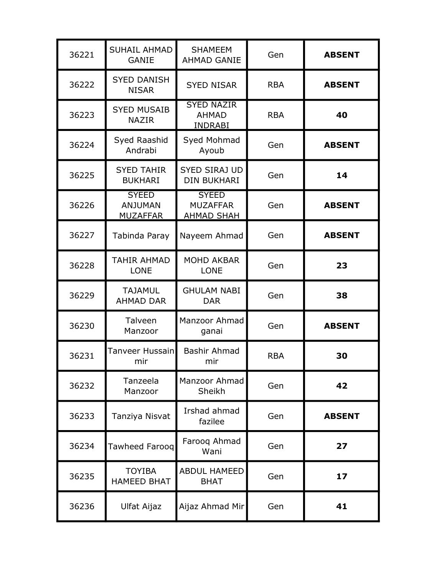| 36221 | <b>SUHAIL AHMAD</b><br><b>GANIE</b>               | <b>SHAMEEM</b><br><b>AHMAD GANIE</b>                 | Gen        | <b>ABSENT</b> |
|-------|---------------------------------------------------|------------------------------------------------------|------------|---------------|
| 36222 | <b>SYED DANISH</b><br><b>NISAR</b>                | <b>SYED NISAR</b>                                    | <b>RBA</b> | <b>ABSENT</b> |
| 36223 | <b>SYED MUSAIB</b><br><b>NAZIR</b>                | <b>SYED NAZIR</b><br><b>AHMAD</b><br><b>INDRABI</b>  | <b>RBA</b> | 40            |
| 36224 | Syed Raashid<br>Andrabi                           | Syed Mohmad<br>Ayoub                                 | Gen        | <b>ABSENT</b> |
| 36225 | <b>SYED TAHIR</b><br><b>BUKHARI</b>               | <b>SYED SIRAJ UD</b><br><b>DIN BUKHARI</b>           | Gen        | 14            |
| 36226 | <b>SYEED</b><br><b>ANJUMAN</b><br><b>MUZAFFAR</b> | <b>SYEED</b><br><b>MUZAFFAR</b><br><b>AHMAD SHAH</b> | Gen        | <b>ABSENT</b> |
| 36227 | Tabinda Paray                                     | Nayeem Ahmad                                         | Gen        | <b>ABSENT</b> |
| 36228 | <b>TAHIR AHMAD</b><br><b>LONE</b>                 | <b>MOHD AKBAR</b><br><b>LONE</b>                     | Gen        | 23            |
| 36229 | <b>TAJAMUL</b><br><b>AHMAD DAR</b>                | <b>GHULAM NABI</b><br><b>DAR</b>                     | Gen        | 38            |
| 36230 | Talveen<br>Manzoor                                | Manzoor Ahmad<br>ganai                               | Gen        | <b>ABSENT</b> |
| 36231 | Tanveer Hussain<br>mir                            | <b>Bashir Ahmad</b><br>mir                           | <b>RBA</b> | 30            |
| 36232 | Tanzeela<br>Manzoor                               | Manzoor Ahmad<br>Sheikh                              | Gen        | 42            |
| 36233 | Tanziya Nisvat                                    | Irshad ahmad<br>fazilee                              | Gen        | <b>ABSENT</b> |
| 36234 | Tawheed Faroog                                    | Farooq Ahmad<br>Wani                                 | Gen        | 27            |
| 36235 | <b>TOYIBA</b><br><b>HAMEED BHAT</b>               | <b>ABDUL HAMEED</b><br><b>BHAT</b>                   | Gen        | 17            |
| 36236 | <b>Ulfat Aijaz</b>                                | Aijaz Ahmad Mir                                      | Gen        | 41            |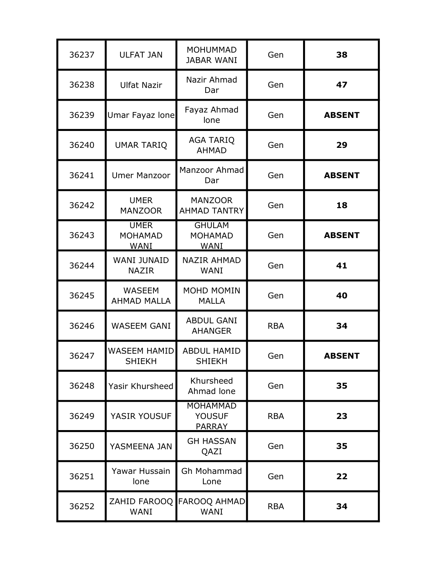| 36237 | <b>ULFAT JAN</b>                             | <b>MOHUMMAD</b><br><b>JABAR WANI</b>              | Gen        | 38            |
|-------|----------------------------------------------|---------------------------------------------------|------------|---------------|
| 36238 | <b>Ulfat Nazir</b>                           | Nazir Ahmad<br>Dar                                | Gen        | 47            |
| 36239 | Umar Fayaz lone                              | Fayaz Ahmad<br>lone                               | Gen        | <b>ABSENT</b> |
| 36240 | <b>UMAR TARIQ</b>                            | <b>AGA TARIQ</b><br><b>AHMAD</b>                  | Gen        | 29            |
| 36241 | <b>Umer Manzoor</b>                          | Manzoor Ahmad<br>Dar                              | Gen        | <b>ABSENT</b> |
| 36242 | <b>UMER</b><br><b>MANZOOR</b>                | <b>MANZOOR</b><br><b>AHMAD TANTRY</b>             | Gen        | 18            |
| 36243 | <b>UMER</b><br><b>MOHAMAD</b><br><b>WANI</b> | <b>GHULAM</b><br><b>MOHAMAD</b><br><b>WANI</b>    | Gen        | <b>ABSENT</b> |
| 36244 | <b>WANI JUNAID</b><br><b>NAZIR</b>           | <b>NAZIR AHMAD</b><br>WANI                        | Gen        | 41            |
| 36245 | <b>WASEEM</b><br><b>AHMAD MALLA</b>          | MOHD MOMIN<br><b>MALLA</b>                        | Gen        | 40            |
| 36246 | <b>WASEEM GANI</b>                           | <b>ABDUL GANI</b><br><b>AHANGER</b>               | <b>RBA</b> | 34            |
| 36247 | <b>WASEEM HAMID</b><br><b>SHIEKH</b>         | <b>ABDUL HAMID</b><br><b>SHIEKH</b>               | Gen        | <b>ABSENT</b> |
| 36248 | Yasir Khursheed                              | Khursheed<br>Ahmad lone                           | Gen        | 35            |
| 36249 | YASIR YOUSUF                                 | <b>MOHAMMAD</b><br><b>YOUSUF</b><br><b>PARRAY</b> | <b>RBA</b> | 23            |
| 36250 | YASMEENA JAN                                 | <b>GH HASSAN</b><br>QAZI                          | Gen        | 35            |
| 36251 | Yawar Hussain<br>lone                        | Gh Mohammad<br>Lone                               | Gen        | 22            |
| 36252 | WANI                                         | ZAHID FAROOQ FAROOQ AHMAD<br><b>WANI</b>          | <b>RBA</b> | 34            |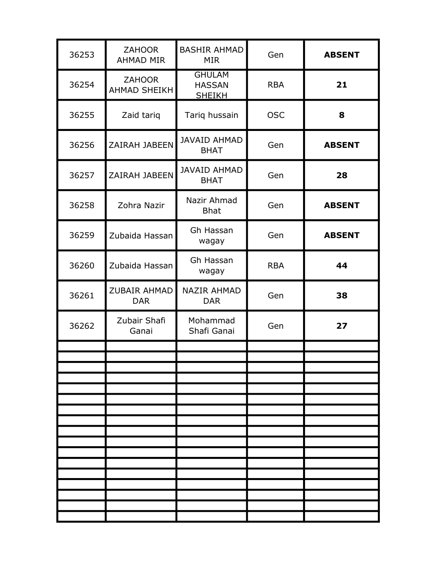| 36253 | <b>ZAHOOR</b><br><b>AHMAD MIR</b>    | <b>BASHIR AHMAD</b><br><b>MIR</b>               | Gen        | <b>ABSENT</b> |
|-------|--------------------------------------|-------------------------------------------------|------------|---------------|
| 36254 | <b>ZAHOOR</b><br><b>AHMAD SHEIKH</b> | <b>GHULAM</b><br><b>HASSAN</b><br><b>SHEIKH</b> | <b>RBA</b> | 21            |
| 36255 | Zaid tariq                           | Tariq hussain                                   | <b>OSC</b> | 8             |
| 36256 | ZAIRAH JABEEN                        | <b>JAVAID AHMAD</b><br><b>BHAT</b>              | Gen        | <b>ABSENT</b> |
| 36257 | ZAIRAH JABEEN                        | <b>JAVAID AHMAD</b><br><b>BHAT</b>              | Gen        | 28            |
| 36258 | Zohra Nazir                          | Nazir Ahmad<br><b>Bhat</b>                      | Gen        | <b>ABSENT</b> |
| 36259 | Zubaida Hassan                       | Gh Hassan<br>wagay                              | Gen        | <b>ABSENT</b> |
| 36260 | Zubaida Hassan                       | Gh Hassan<br>wagay                              | <b>RBA</b> | 44            |
| 36261 | ZUBAIR AHMAD<br><b>DAR</b>           | <b>NAZIR AHMAD</b><br><b>DAR</b>                | Gen        | 38            |
| 36262 | Zubair Shafi<br>Ganai                | Mohammad<br>Shafi Ganai                         | Gen        | 27            |
|       |                                      |                                                 |            |               |
|       |                                      |                                                 |            |               |
|       |                                      |                                                 |            |               |
|       |                                      |                                                 |            |               |
|       |                                      |                                                 |            |               |
|       |                                      |                                                 |            |               |
|       |                                      |                                                 |            |               |
|       |                                      |                                                 |            |               |
|       |                                      |                                                 |            |               |
|       |                                      |                                                 |            |               |
|       |                                      |                                                 |            |               |
|       |                                      |                                                 |            |               |
|       |                                      |                                                 |            |               |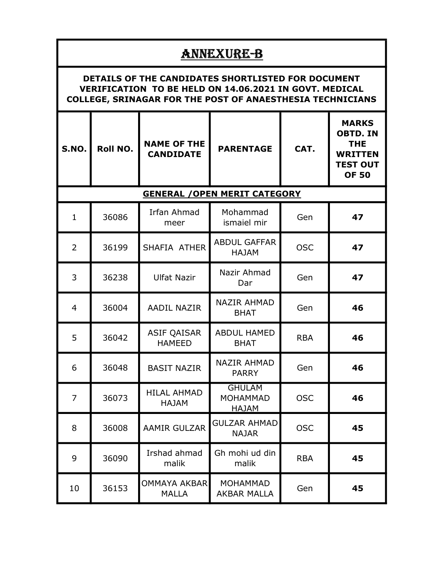|                                                                                                                                                                                         | ANNEXURE-B |                                        |                                                  |            |                                                                                                    |  |  |  |
|-----------------------------------------------------------------------------------------------------------------------------------------------------------------------------------------|------------|----------------------------------------|--------------------------------------------------|------------|----------------------------------------------------------------------------------------------------|--|--|--|
| DETAILS OF THE CANDIDATES SHORTLISTED FOR DOCUMENT<br><b>VERIFICATION TO BE HELD ON 14.06.2021 IN GOVT. MEDICAL</b><br><b>COLLEGE, SRINAGAR FOR THE POST OF ANAESTHESIA TECHNICIANS</b> |            |                                        |                                                  |            |                                                                                                    |  |  |  |
| S.NO.                                                                                                                                                                                   | Roll NO.   | <b>NAME OF THE</b><br><b>CANDIDATE</b> | <b>PARENTAGE</b>                                 | CAT.       | <b>MARKS</b><br><b>OBTD. IN</b><br><b>THE</b><br><b>WRITTEN</b><br><b>TEST OUT</b><br><b>OF 50</b> |  |  |  |
|                                                                                                                                                                                         |            |                                        | <b>GENERAL / OPEN MERIT CATEGORY</b>             |            |                                                                                                    |  |  |  |
| $\mathbf{1}$                                                                                                                                                                            | 36086      | Irfan Ahmad<br>meer                    | Mohammad<br>ismaiel mir                          | Gen        | 47                                                                                                 |  |  |  |
| $\overline{2}$                                                                                                                                                                          | 36199      | SHAFIA ATHER                           | <b>ABDUL GAFFAR</b><br><b>HAJAM</b>              | <b>OSC</b> | 47                                                                                                 |  |  |  |
| 3                                                                                                                                                                                       | 36238      | <b>Ulfat Nazir</b>                     | Nazir Ahmad<br>Dar                               | Gen        | 47                                                                                                 |  |  |  |
| $\overline{4}$                                                                                                                                                                          | 36004      | <b>AADIL NAZIR</b>                     | <b>NAZIR AHMAD</b><br><b>BHAT</b>                | Gen        | 46                                                                                                 |  |  |  |
| 5                                                                                                                                                                                       | 36042      | <b>ASIF QAISAR</b><br><b>HAMEED</b>    | <b>ABDUL HAMED</b><br><b>BHAT</b>                | <b>RBA</b> | 46                                                                                                 |  |  |  |
| 6                                                                                                                                                                                       | 36048      | <b>BASIT NAZIR</b>                     | <b>NAZIR AHMAD</b><br><b>PARRY</b>               | Gen        | 46                                                                                                 |  |  |  |
| $\overline{7}$                                                                                                                                                                          | 36073      | <b>HILAL AHMAD</b><br>HAJAM            | <b>GHULAM</b><br><b>MOHAMMAD</b><br><b>HAJAM</b> | <b>OSC</b> | 46                                                                                                 |  |  |  |
| 8                                                                                                                                                                                       | 36008      | <b>AAMIR GULZAR</b>                    | <b>GULZAR AHMAD</b><br><b>NAJAR</b>              | <b>OSC</b> | 45                                                                                                 |  |  |  |
| 9                                                                                                                                                                                       | 36090      | Irshad ahmad<br>malik                  | Gh mohi ud din<br>malik                          | <b>RBA</b> | 45                                                                                                 |  |  |  |
| 10                                                                                                                                                                                      | 36153      | <b>OMMAYA AKBAR</b><br><b>MALLA</b>    | <b>MOHAMMAD</b><br><b>AKBAR MALLA</b>            | Gen        | 45                                                                                                 |  |  |  |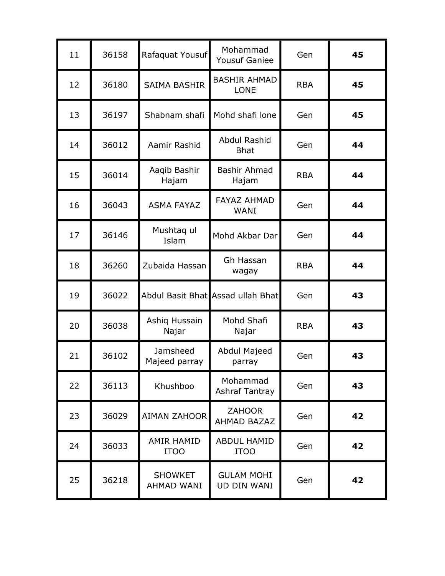| 11 | 36158 | Rafaquat Yousuf                     | Mohammad<br><b>Yousuf Ganiee</b>        | Gen        | 45 |
|----|-------|-------------------------------------|-----------------------------------------|------------|----|
| 12 | 36180 | <b>SAIMA BASHIR</b>                 | <b>BASHIR AHMAD</b><br><b>LONE</b>      | <b>RBA</b> | 45 |
| 13 | 36197 | Shabnam shafi                       | Mohd shafi lone                         | Gen        | 45 |
| 14 | 36012 | Aamir Rashid                        | Abdul Rashid<br><b>Bhat</b>             | Gen        | 44 |
| 15 | 36014 | Aaqib Bashir<br>Hajam               | Bashir Ahmad<br>Hajam                   | <b>RBA</b> | 44 |
| 16 | 36043 | <b>ASMA FAYAZ</b>                   | <b>FAYAZ AHMAD</b><br><b>WANI</b>       | Gen        | 44 |
| 17 | 36146 | Mushtaq ul<br>Islam                 | Mohd Akbar Dar                          | Gen        | 44 |
| 18 | 36260 | Zubaida Hassan                      | Gh Hassan<br>wagay                      | <b>RBA</b> | 44 |
| 19 | 36022 |                                     | Abdul Basit Bhat Assad ullah Bhat       | Gen        | 43 |
| 20 | 36038 | Ashiq Hussain<br>Najar              | Mohd Shafi<br>Najar                     | <b>RBA</b> | 43 |
| 21 | 36102 | Jamsheed<br>Majeed parray           | Abdul Majeed<br>parray                  | Gen        | 43 |
| 22 | 36113 | Khushboo                            | Mohammad<br><b>Ashraf Tantray</b>       | Gen        | 43 |
| 23 | 36029 | <b>AIMAN ZAHOOR</b>                 | <b>ZAHOOR</b><br><b>AHMAD BAZAZ</b>     | Gen        | 42 |
| 24 | 36033 | <b>AMIR HAMID</b><br><b>ITOO</b>    | <b>ABDUL HAMID</b><br><b>ITOO</b>       | Gen        | 42 |
| 25 | 36218 | <b>SHOWKET</b><br><b>AHMAD WANI</b> | <b>GULAM MOHI</b><br><b>UD DIN WANI</b> | Gen        | 42 |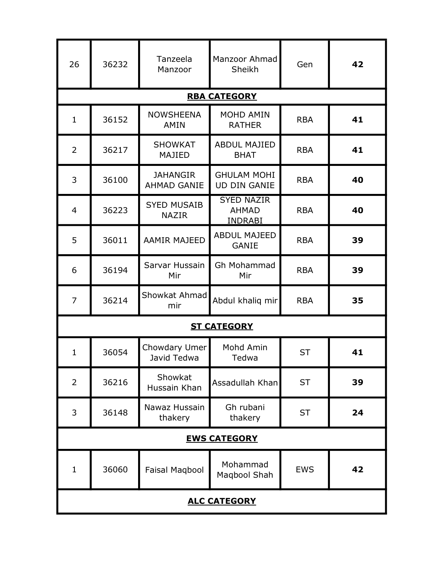| 26             | 36232               | Tanzeela<br>Manzoor                   | Manzoor Ahmad<br>Sheikh                             | Gen        | 42 |  |  |
|----------------|---------------------|---------------------------------------|-----------------------------------------------------|------------|----|--|--|
|                |                     |                                       | <b>RBA CATEGORY</b>                                 |            |    |  |  |
| $\mathbf{1}$   | 36152               | <b>NOWSHEENA</b><br>AMIN              | <b>MOHD AMIN</b><br><b>RATHER</b>                   | <b>RBA</b> | 41 |  |  |
| 2              | 36217               | <b>SHOWKAT</b><br><b>MAJIED</b>       | <b>ABDUL MAJIED</b><br><b>BHAT</b>                  | <b>RBA</b> | 41 |  |  |
| 3              | 36100               | <b>JAHANGIR</b><br><b>AHMAD GANIE</b> | <b>GHULAM MOHI</b><br><b>UD DIN GANIE</b>           | <b>RBA</b> | 40 |  |  |
| $\overline{4}$ | 36223               | <b>SYED MUSAIB</b><br><b>NAZIR</b>    | <b>SYED NAZIR</b><br><b>AHMAD</b><br><b>INDRABI</b> | <b>RBA</b> | 40 |  |  |
| 5              | 36011               | <b>AAMIR MAJEED</b>                   | <b>ABDUL MAJEED</b><br><b>GANIE</b>                 | <b>RBA</b> | 39 |  |  |
| 6              | 36194               | Sarvar Hussain<br>Mir                 | Gh Mohammad<br>Mir                                  | <b>RBA</b> | 39 |  |  |
| $\overline{7}$ | 36214               | Showkat Ahmad<br>mir                  | Abdul khaliq mir                                    | <b>RBA</b> | 35 |  |  |
|                |                     |                                       | <b>ST CATEGORY</b>                                  |            |    |  |  |
| $\mathbf{1}$   | 36054               | Chowdary Umer<br>Javid Tedwa          | Mohd Amin<br>Tedwa                                  | <b>ST</b>  | 41 |  |  |
| $\overline{2}$ | 36216               | Showkat<br>Hussain Khan               | Assadullah Khan                                     | <b>ST</b>  | 39 |  |  |
| 3              | 36148               | Nawaz Hussain<br>thakery              | Gh rubani<br>thakery                                | <b>ST</b>  | 24 |  |  |
|                | <b>EWS CATEGORY</b> |                                       |                                                     |            |    |  |  |
| $\mathbf{1}$   | 36060               | <b>Faisal Magbool</b>                 | Mohammad<br>Maqbool Shah                            | <b>EWS</b> | 42 |  |  |
|                | <b>ALC CATEGORY</b> |                                       |                                                     |            |    |  |  |